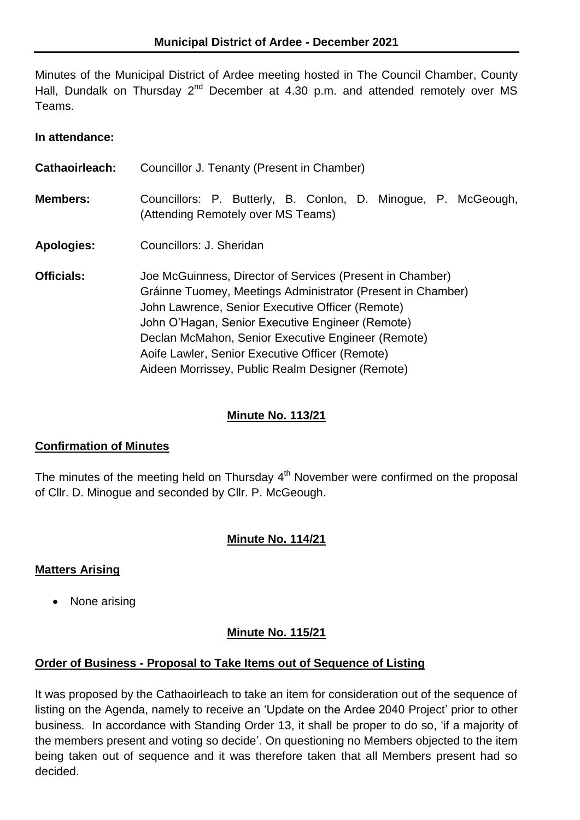Minutes of the Municipal District of Ardee meeting hosted in The Council Chamber, County Hall, Dundalk on Thursday  $2^{nd}$  December at 4.30 p.m. and attended remotely over MS Teams.

### **In attendance:**

| Cathaoirleach:    | Councillor J. Tenanty (Present in Chamber)                                                                                                                                                                                                                                                                                                                                                    |  |  |
|-------------------|-----------------------------------------------------------------------------------------------------------------------------------------------------------------------------------------------------------------------------------------------------------------------------------------------------------------------------------------------------------------------------------------------|--|--|
| <b>Members:</b>   | Councillors: P. Butterly, B. Conlon, D. Minogue, P. McGeough,<br>(Attending Remotely over MS Teams)                                                                                                                                                                                                                                                                                           |  |  |
| <b>Apologies:</b> | Councillors: J. Sheridan                                                                                                                                                                                                                                                                                                                                                                      |  |  |
| <b>Officials:</b> | Joe McGuinness, Director of Services (Present in Chamber)<br>Gráinne Tuomey, Meetings Administrator (Present in Chamber)<br>John Lawrence, Senior Executive Officer (Remote)<br>John O'Hagan, Senior Executive Engineer (Remote)<br>Declan McMahon, Senior Executive Engineer (Remote)<br>Aoife Lawler, Senior Executive Officer (Remote)<br>Aideen Morrissey, Public Realm Designer (Remote) |  |  |

# **Minute No. 113/21**

## **Confirmation of Minutes**

The minutes of the meeting held on Thursday  $4<sup>th</sup>$  November were confirmed on the proposal of Cllr. D. Minogue and seconded by Cllr. P. McGeough.

## **Minute No. 114/21**

## **Matters Arising**

• None arising

## **Minute No. 115/21**

## **Order of Business - Proposal to Take Items out of Sequence of Listing**

It was proposed by the Cathaoirleach to take an item for consideration out of the sequence of listing on the Agenda, namely to receive an 'Update on the Ardee 2040 Project' prior to other business. In accordance with Standing Order 13, it shall be proper to do so, 'if a majority of the members present and voting so decide'. On questioning no Members objected to the item being taken out of sequence and it was therefore taken that all Members present had so decided.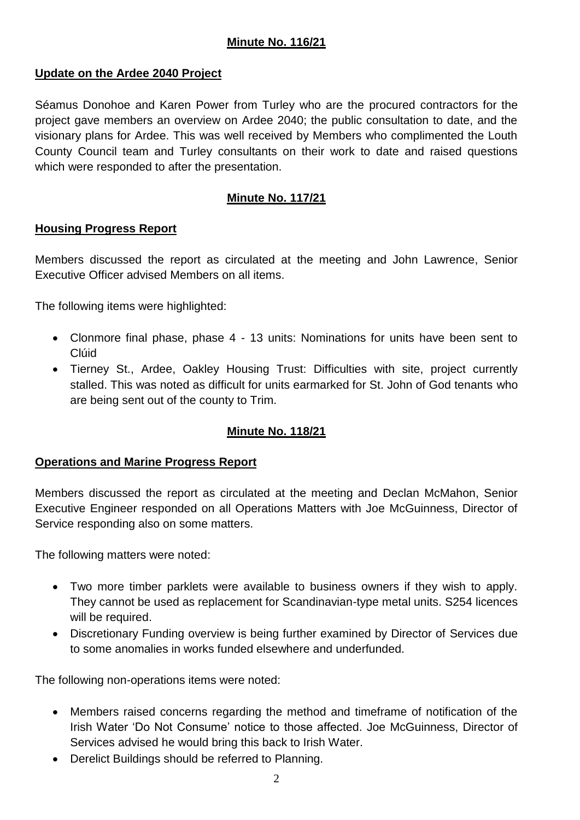## **Minute No. 116/21**

## **Update on the Ardee 2040 Project**

Séamus Donohoe and Karen Power from Turley who are the procured contractors for the project gave members an overview on Ardee 2040; the public consultation to date, and the visionary plans for Ardee. This was well received by Members who complimented the Louth County Council team and Turley consultants on their work to date and raised questions which were responded to after the presentation.

## **Minute No. 117/21**

### **Housing Progress Report**

Members discussed the report as circulated at the meeting and John Lawrence, Senior Executive Officer advised Members on all items.

The following items were highlighted:

- Clonmore final phase, phase 4 13 units: Nominations for units have been sent to Clúid
- Tierney St., Ardee, Oakley Housing Trust: Difficulties with site, project currently stalled. This was noted as difficult for units earmarked for St. John of God tenants who are being sent out of the county to Trim.

## **Minute No. 118/21**

#### **Operations and Marine Progress Report**

Members discussed the report as circulated at the meeting and Declan McMahon, Senior Executive Engineer responded on all Operations Matters with Joe McGuinness, Director of Service responding also on some matters.

The following matters were noted:

- Two more timber parklets were available to business owners if they wish to apply. They cannot be used as replacement for Scandinavian-type metal units. S254 licences will be required.
- Discretionary Funding overview is being further examined by Director of Services due to some anomalies in works funded elsewhere and underfunded.

The following non-operations items were noted:

- Members raised concerns regarding the method and timeframe of notification of the Irish Water 'Do Not Consume' notice to those affected. Joe McGuinness, Director of Services advised he would bring this back to Irish Water.
- Derelict Buildings should be referred to Planning.